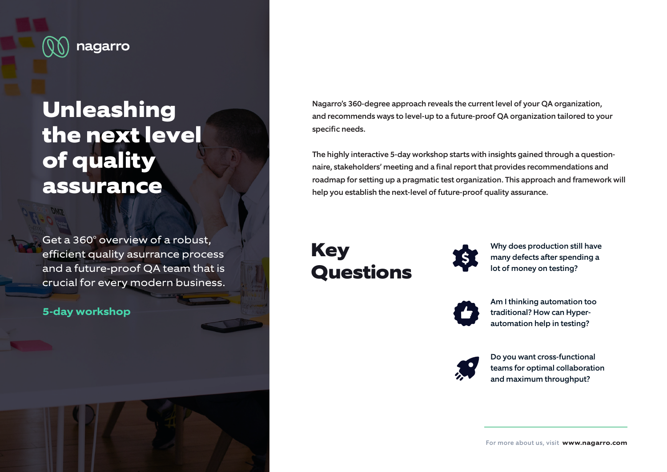

# **Unleashing the next level of quality assurance**

Get a 360° overview of a robust, efficient quality asurrance process and a future-proof QA team that is crucial for every modern business.

#### **5-day workshop**

Nagarro's 360-degree approach reveals the current level of your QA organization, and recommends ways to level-up to a future-proof QA organization tailored to your specific needs.

The highly interactive 5-day workshop starts with insights gained through a questionnaire, stakeholders' meeting and a final report that provides recommendations and roadmap for setting up a pragmatic test organization. This approach and framework will help you establish the next-level of future-proof quality assurance.





Why does production still have many defects after spending a lot of money on testing?



Am I thinking automation too traditional? How can Hyperautomation help in testing?



Do you want cross-functional teams for optimal collaboration and maximum throughput?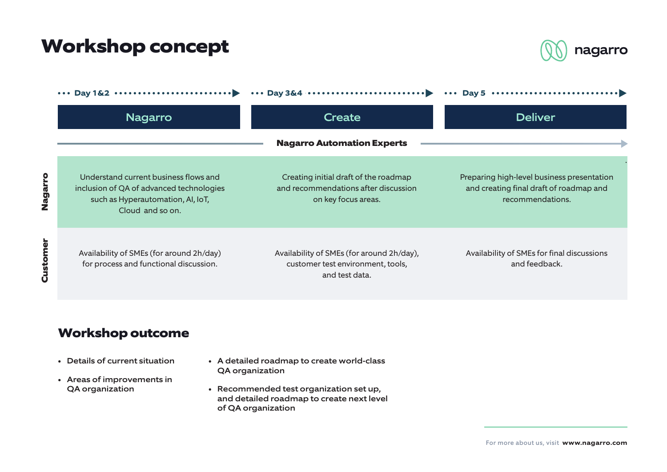### **Workshop concept**



|          | $\cdots$ Day 1&2 $\cdots$ $\cdots$ $\cdots$ $\cdots$ $\cdots$ $\cdots$                                                                     |                                                                                                      | Dav 5<br>$\bullet$                                                                                        |
|----------|--------------------------------------------------------------------------------------------------------------------------------------------|------------------------------------------------------------------------------------------------------|-----------------------------------------------------------------------------------------------------------|
|          | <b>Nagarro</b>                                                                                                                             | Create                                                                                               | <b>Deliver</b>                                                                                            |
|          | <b>Nagarro Automation Experts</b>                                                                                                          |                                                                                                      |                                                                                                           |
| Nagarro  | Understand current business flows and<br>inclusion of QA of advanced technologies<br>such as Hyperautomation, AI, IoT,<br>Cloud and so on. | Creating initial draft of the roadmap<br>and recommendations after discussion<br>on key focus areas. | Preparing high-level business presentation<br>and creating final draft of roadmap and<br>recommendations. |
| Customer | Availability of SMEs (for around 2h/day)<br>for process and functional discussion.                                                         | Availability of SMEs (for around 2h/day),<br>customer test environment, tools,<br>and test data.     | Availability of SMEs for final discussions<br>and feedback.                                               |

#### **Workshop outcome**

• Details of current situation

- Areas of improvements in QA organization
- A detailed roadmap to create world-class QA organization
- Recommended test organization set up, and detailed roadmap to create next level of QA organization